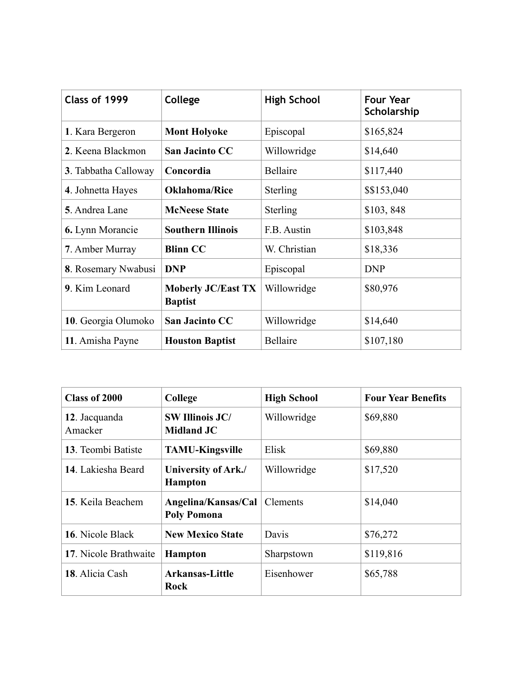| Class of 1999           | College                                     | <b>High School</b> | <b>Four Year</b><br>Scholarship |
|-------------------------|---------------------------------------------|--------------------|---------------------------------|
| 1. Kara Bergeron        | <b>Mont Holyoke</b>                         | Episcopal          | \$165,824                       |
| 2. Keena Blackmon       | <b>San Jacinto CC</b>                       | Willowridge        | \$14,640                        |
| 3. Tabbatha Calloway    | Concordia                                   | <b>Bellaire</b>    | \$117,440                       |
| 4. Johnetta Hayes       | <b>Oklahoma/Rice</b>                        | <b>Sterling</b>    | \$\$153,040                     |
| 5. Andrea Lane          | <b>McNeese State</b>                        | Sterling           | \$103,848                       |
| <b>6.</b> Lynn Morancie | <b>Southern Illinois</b>                    | F.B. Austin        | \$103,848                       |
| 7. Amber Murray         | <b>Blinn CC</b>                             | W. Christian       | \$18,336                        |
| 8. Rosemary Nwabusi     | <b>DNP</b>                                  | Episcopal          | <b>DNP</b>                      |
| 9. Kim Leonard          | <b>Moberly JC/East TX</b><br><b>Baptist</b> | Willowridge        | \$80,976                        |
| 10. Georgia Olumoko     | San Jacinto CC                              | Willowridge        | \$14,640                        |
| 11. Amisha Payne        | <b>Houston Baptist</b>                      | <b>Bellaire</b>    | \$107,180                       |

| Class of 2000            | College                                     | <b>High School</b> | <b>Four Year Benefits</b> |
|--------------------------|---------------------------------------------|--------------------|---------------------------|
| 12. Jacquanda<br>Amacker | <b>SW Illinois JC/</b><br><b>Midland JC</b> | Willowridge        | \$69,880                  |
| 13. Teombi Batiste       | <b>TAMU-Kingsville</b>                      | Elisk              | \$69,880                  |
| 14. Lakiesha Beard       | University of Ark./<br><b>Hampton</b>       | Willowridge        | \$17,520                  |
| 15. Keila Beachem        | Angelina/Kansas/Cal<br><b>Poly Pomona</b>   | <b>Clements</b>    | \$14,040                  |
| 16. Nicole Black         | <b>New Mexico State</b>                     | Davis              | \$76,272                  |
| 17. Nicole Brathwaite    | <b>Hampton</b>                              | Sharpstown         | \$119,816                 |
| 18. Alicia Cash          | <b>Arkansas-Little</b><br>Rock              | Eisenhower         | \$65,788                  |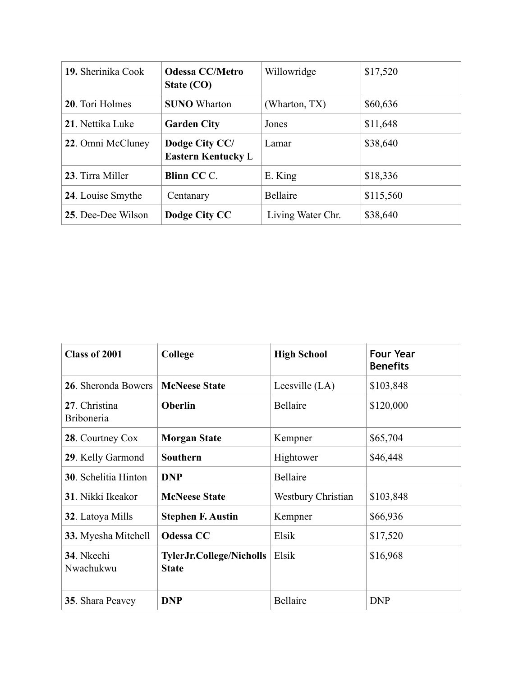| 19. Sherinika Cook | <b>Odessa CC/Metro</b><br>State (CO)        | Willowridge       | \$17,520  |
|--------------------|---------------------------------------------|-------------------|-----------|
| 20. Tori Holmes    | <b>SUNO</b> Wharton                         | (Wharton, TX)     | \$60,636  |
| 21. Nettika Luke   | <b>Garden City</b>                          | Jones             | \$11,648  |
| 22. Omni McCluney  | Dodge City CC/<br><b>Eastern Kentucky L</b> | Lamar             | \$38,640  |
| 23. Tirra Miller   | <b>Blinn CCC.</b>                           | E. King           | \$18,336  |
| 24. Louise Smythe  | Centanary                                   | <b>Bellaire</b>   | \$115,560 |
| 25. Dee-Dee Wilson | Dodge City CC                               | Living Water Chr. | \$38,640  |

| <b>Class of 2001</b>               | College                                         | <b>High School</b>        | <b>Four Year</b><br><b>Benefits</b> |
|------------------------------------|-------------------------------------------------|---------------------------|-------------------------------------|
| 26. Sheronda Bowers                | <b>McNeese State</b>                            | Leesville $(LA)$          | \$103,848                           |
| 27. Christina<br><b>Briboneria</b> | <b>Oberlin</b>                                  | Bellaire                  | \$120,000                           |
| 28. Courtney Cox                   | <b>Morgan State</b>                             | Kempner                   | \$65,704                            |
| 29. Kelly Garmond                  | Southern                                        | Hightower                 | \$46,448                            |
| <b>30</b> . Schelitia Hinton       | <b>DNP</b>                                      | <b>Bellaire</b>           |                                     |
| 31. Nikki Ikeakor                  | <b>McNeese State</b>                            | <b>Westbury Christian</b> | \$103,848                           |
| 32. Latoya Mills                   | <b>Stephen F. Austin</b>                        | Kempner                   | \$66,936                            |
| 33. Myesha Mitchell                | <b>Odessa CC</b>                                | Elsik                     | \$17,520                            |
| 34. Nkechi<br>Nwachukwu            | <b>TylerJr.College/Nicholls</b><br><b>State</b> | Elsik                     | \$16,968                            |
| 35. Shara Peavey                   | <b>DNP</b>                                      | <b>Bellaire</b>           | <b>DNP</b>                          |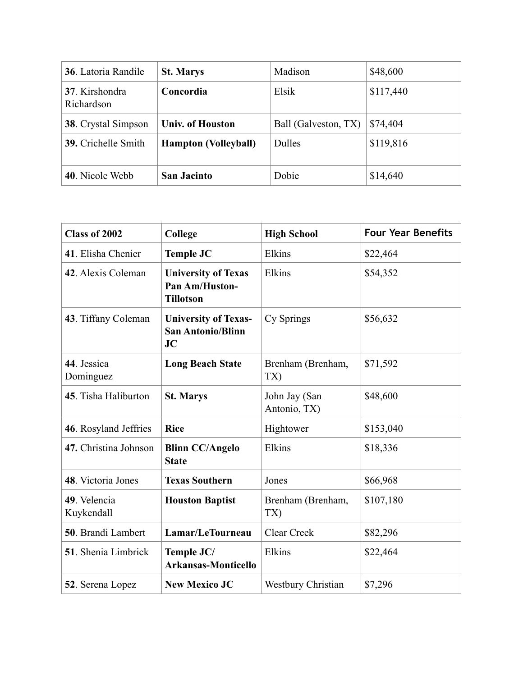| 36. Latoria Randile          | <b>St. Marys</b>            | Madison              | \$48,600  |
|------------------------------|-----------------------------|----------------------|-----------|
| 37. Kirshondra<br>Richardson | Concordia                   | Elsik                | \$117,440 |
| <b>38.</b> Crystal Simpson   | <b>Univ. of Houston</b>     | Ball (Galveston, TX) | \$74,404  |
| 39. Crichelle Smith          | <b>Hampton (Volleyball)</b> | <b>Dulles</b>        | \$119,816 |
| 40. Nicole Webb              | <b>San Jacinto</b>          | Dobie                | \$14,640  |

| <b>Class of 2002</b>       | College                                                                 | <b>High School</b>            | <b>Four Year Benefits</b> |
|----------------------------|-------------------------------------------------------------------------|-------------------------------|---------------------------|
| 41. Elisha Chenier         | <b>Temple JC</b>                                                        | Elkins                        | \$22,464                  |
| 42. Alexis Coleman         | <b>University of Texas</b><br><b>Pan Am/Huston-</b><br><b>Tillotson</b> | Elkins                        | \$54,352                  |
| 43. Tiffany Coleman        | <b>University of Texas-</b><br><b>San Antonio/Blinn</b><br><b>JC</b>    | Cy Springs                    | \$56,632                  |
| 44. Jessica<br>Dominguez   | <b>Long Beach State</b>                                                 | Brenham (Brenham,<br>TX)      | \$71,592                  |
| 45. Tisha Haliburton       | <b>St. Marys</b>                                                        | John Jay (San<br>Antonio, TX) | \$48,600                  |
| 46. Rosyland Jeffries      | <b>Rice</b>                                                             | Hightower                     | \$153,040                 |
| 47. Christina Johnson      | <b>Blinn CC/Angelo</b><br><b>State</b>                                  | Elkins                        | \$18,336                  |
| 48. Victoria Jones         | <b>Texas Southern</b>                                                   | Jones                         | \$66,968                  |
| 49. Velencia<br>Kuykendall | <b>Houston Baptist</b>                                                  | Brenham (Brenham,<br>TX)      | \$107,180                 |
| 50. Brandi Lambert         | Lamar/LeTourneau                                                        | Clear Creek                   | \$82,296                  |
| 51. Shenia Limbrick        | Temple JC/<br><b>Arkansas-Monticello</b>                                | Elkins                        | \$22,464                  |
| 52. Serena Lopez           | <b>New Mexico JC</b>                                                    | <b>Westbury Christian</b>     | \$7,296                   |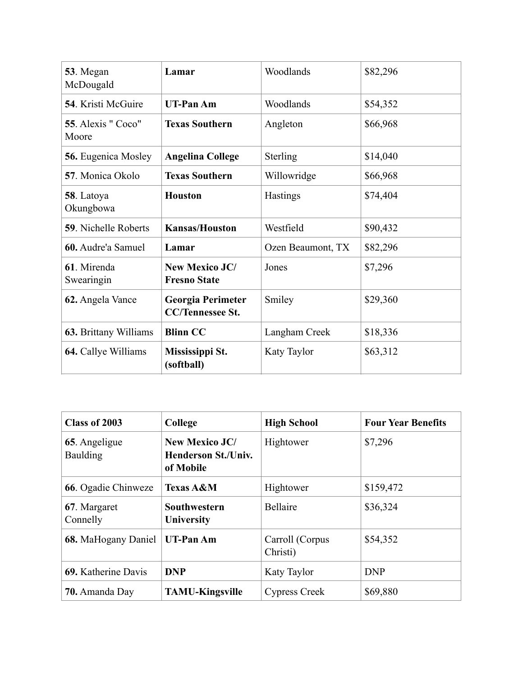| 53. Megan<br>McDougald      | Lamar                                               | Woodlands         | \$82,296 |
|-----------------------------|-----------------------------------------------------|-------------------|----------|
| <b>54.</b> Kristi McGuire   | <b>UT-Pan Am</b>                                    | Woodlands         | \$54,352 |
| 55. Alexis "Coco"<br>Moore  | <b>Texas Southern</b>                               | Angleton          | \$66,968 |
| <b>56.</b> Eugenica Mosley  | <b>Angelina College</b>                             | Sterling          | \$14,040 |
| 57. Monica Okolo            | <b>Texas Southern</b>                               | Willowridge       | \$66,968 |
| 58. Latoya<br>Okungbowa     | <b>Houston</b>                                      | Hastings          | \$74,404 |
| <b>59. Nichelle Roberts</b> | <b>Kansas/Houston</b>                               | Westfield         | \$90,432 |
| 60. Audre'a Samuel          | Lamar                                               | Ozen Beaumont, TX | \$82,296 |
| 61. Mirenda<br>Swearingin   | <b>New Mexico JC/</b><br><b>Fresno State</b>        | Jones             | \$7,296  |
| 62. Angela Vance            | <b>Georgia Perimeter</b><br><b>CC/Tennessee St.</b> | Smiley            | \$29,360 |
| 63. Brittany Williams       | <b>Blinn CC</b>                                     | Langham Creek     | \$18,336 |
| 64. Callye Williams         | Mississippi St.<br>(softball)                       | Katy Taylor       | \$63,312 |

| Class of 2003             | College                                                          | <b>High School</b>          | <b>Four Year Benefits</b> |
|---------------------------|------------------------------------------------------------------|-----------------------------|---------------------------|
| 65. Angeligue<br>Baulding | <b>New Mexico JC/</b><br><b>Henderson St./Univ.</b><br>of Mobile | Hightower                   | \$7,296                   |
| 66. Ogadie Chinweze       | <b>Texas A&amp;M</b>                                             | Hightower                   | \$159,472                 |
| 67. Margaret<br>Connelly  | Southwestern<br>University                                       | Bellaire                    | \$36,324                  |
| 68. MaHogany Daniel       | <b>UT-Pan Am</b>                                                 | Carroll (Corpus<br>Christi) | \$54,352                  |
| 69. Katherine Davis       | <b>DNP</b>                                                       | <b>Katy Taylor</b>          | <b>DNP</b>                |
| 70. Amanda Day            | <b>TAMU-Kingsville</b>                                           | Cypress Creek               | \$69,880                  |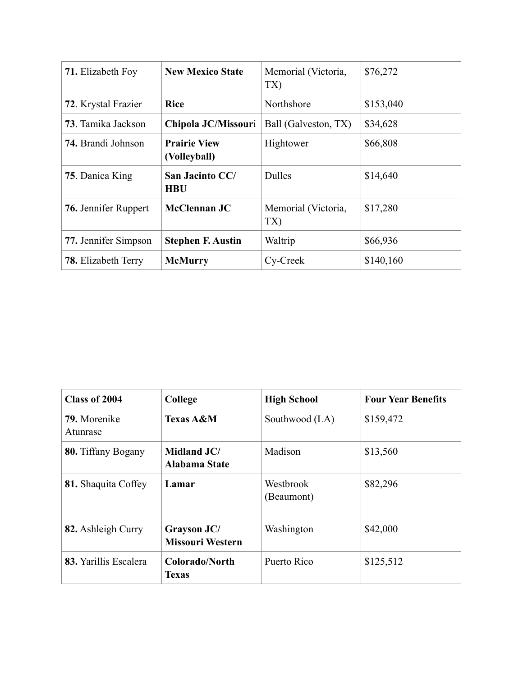| <b>71.</b> Elizabeth Foy   | <b>New Mexico State</b>             | Memorial (Victoria,<br>TX) | \$76,272  |
|----------------------------|-------------------------------------|----------------------------|-----------|
| 72. Krystal Frazier        | <b>Rice</b>                         | Northshore                 | \$153,040 |
| <b>73</b> . Tamika Jackson | Chipola JC/Missouri                 | Ball (Galveston, TX)       | \$34,628  |
| <b>74. Brandi Johnson</b>  | <b>Prairie View</b><br>(Volleyball) | Hightower                  | \$66,808  |
| 75. Danica King            | San Jacinto CC/<br><b>HBU</b>       | <b>Dulles</b>              | \$14,640  |
| 76. Jennifer Ruppert       | <b>McClennan JC</b>                 | Memorial (Victoria,<br>TX) | \$17,280  |
| 77. Jennifer Simpson       | <b>Stephen F. Austin</b>            | Waltrip                    | \$66,936  |
| <b>78.</b> Elizabeth Terry | <b>McMurry</b>                      | Cy-Creek                   | \$140,160 |

| Class of 2004             | College                                | <b>High School</b>      | <b>Four Year Benefits</b> |
|---------------------------|----------------------------------------|-------------------------|---------------------------|
| 79. Morenike<br>Atunrase  | <b>Texas A&amp;M</b>                   | Southwood (LA)          | \$159,472                 |
| <b>80.</b> Tiffany Bogany | Midland JC/<br>Alabama State           | Madison                 | \$13,560                  |
| 81. Shaquita Coffey       | Lamar                                  | Westbrook<br>(Beaumont) | \$82,296                  |
| 82. Ashleigh Curry        | Grayson JC/<br><b>Missouri Western</b> | Washington              | \$42,000                  |
| 83. Yarillis Escalera     | Colorado/North<br><b>Texas</b>         | Puerto Rico             | \$125,512                 |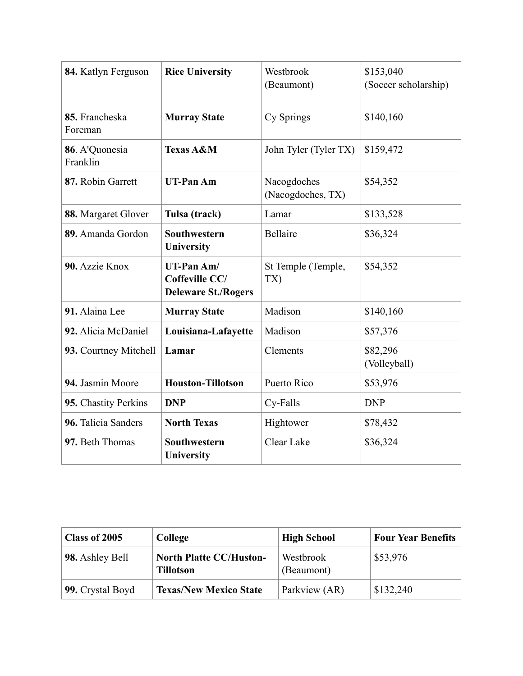| 84. Katlyn Ferguson        | <b>Rice University</b>                                     | Westbrook<br>(Beaumont)          | \$153,040<br>(Soccer scholarship) |
|----------------------------|------------------------------------------------------------|----------------------------------|-----------------------------------|
| 85. Francheska<br>Foreman  | <b>Murray State</b>                                        | Cy Springs                       | \$140,160                         |
| 86. A'Quonesia<br>Franklin | <b>Texas A&amp;M</b>                                       | John Tyler (Tyler TX)            | \$159,472                         |
| 87. Robin Garrett          | <b>UT-Pan Am</b>                                           | Nacogdoches<br>(Nacogdoches, TX) | \$54,352                          |
| 88. Margaret Glover        | Tulsa (track)                                              | Lamar                            | \$133,528                         |
| 89. Amanda Gordon          | <b>Southwestern</b><br>University                          | Bellaire                         | \$36,324                          |
| 90. Azzie Knox             | UT-Pan Am/<br>Coffeville CC/<br><b>Deleware St./Rogers</b> | St Temple (Temple,<br>TX)        | \$54,352                          |
| 91. Alaina Lee             | <b>Murray State</b>                                        | Madison                          | \$140,160                         |
| 92. Alicia McDaniel        | Louisiana-Lafayette                                        | Madison                          | \$57,376                          |
| 93. Courtney Mitchell      | Lamar                                                      | Clements                         | \$82,296<br>(Volleyball)          |
| 94. Jasmin Moore           | <b>Houston-Tillotson</b>                                   | Puerto Rico                      | \$53,976                          |
| 95. Chastity Perkins       | <b>DNP</b>                                                 | Cy-Falls                         | <b>DNP</b>                        |
| 96. Talicia Sanders        | <b>North Texas</b>                                         | Hightower                        | \$78,432                          |
| 97. Beth Thomas            | Southwestern<br>University                                 | Clear Lake                       | \$36,324                          |

| Class of 2005    | College                                            | <b>High School</b>      | <b>Four Year Benefits</b> |
|------------------|----------------------------------------------------|-------------------------|---------------------------|
| 98. Ashley Bell  | <b>North Platte CC/Huston-</b><br><b>Tillotson</b> | Westbrook<br>(Beaumont) | \$53,976                  |
| 99. Crystal Boyd | <b>Texas/New Mexico State</b>                      | Parkview (AR)           | \$132,240                 |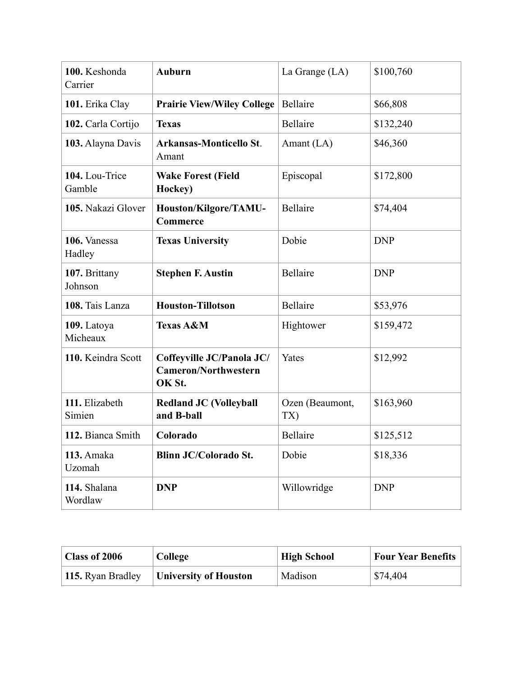| 100. Keshonda<br>Carrier | <b>Auburn</b>                                                      | La Grange (LA)         | \$100,760  |
|--------------------------|--------------------------------------------------------------------|------------------------|------------|
| 101. Erika Clay          | <b>Prairie View/Wiley College</b>                                  | Bellaire               | \$66,808   |
| 102. Carla Cortijo       | <b>Texas</b>                                                       | Bellaire               | \$132,240  |
| 103. Alayna Davis        | <b>Arkansas-Monticello St.</b><br>Amant                            | Amant (LA)             | \$46,360   |
| 104. Lou-Trice<br>Gamble | <b>Wake Forest (Field</b><br>Hockey)                               | Episcopal              | \$172,800  |
| 105. Nakazi Glover       | Houston/Kilgore/TAMU-<br>Commerce                                  | Bellaire               | \$74,404   |
| 106. Vanessa<br>Hadley   | <b>Texas University</b>                                            | Dobie                  | <b>DNP</b> |
| 107. Brittany<br>Johnson | <b>Stephen F. Austin</b>                                           | <b>Bellaire</b>        | <b>DNP</b> |
| 108. Tais Lanza          | <b>Houston-Tillotson</b>                                           | Bellaire               | \$53,976   |
| 109. Latoya<br>Micheaux  | <b>Texas A&amp;M</b>                                               | Hightower              | \$159,472  |
| 110. Keindra Scott       | Coffeyville JC/Panola JC/<br><b>Cameron/Northwestern</b><br>OK St. | Yates                  | \$12,992   |
| 111. Elizabeth<br>Simien | <b>Redland JC (Volleyball</b><br>and B-ball                        | Ozen (Beaumont,<br>TX) | \$163,960  |
| 112. Bianca Smith        | Colorado                                                           | Bellaire               | \$125,512  |
| 113. Amaka<br>Uzomah     | <b>Blinn JC/Colorado St.</b>                                       | Dobie                  | \$18,336   |
| 114. Shalana<br>Wordlaw  | <b>DNP</b>                                                         | Willowridge            | <b>DNP</b> |

| <b>Class of 2006</b> | College                      | <b>High School</b> | <b>Four Year Benefits</b> |
|----------------------|------------------------------|--------------------|---------------------------|
| 115. Ryan Bradley    | <b>University of Houston</b> | Madison            | \$74,404                  |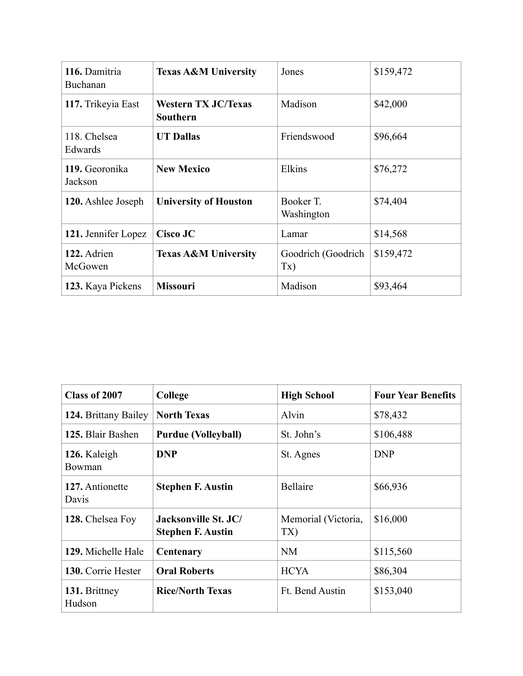| 116. Damitria<br>Buchanan | <b>Texas A&amp;M University</b>               | Jones                     | \$159,472 |
|---------------------------|-----------------------------------------------|---------------------------|-----------|
| 117. Trikeyia East        | <b>Western TX JC/Texas</b><br><b>Southern</b> | Madison                   | \$42,000  |
| 118. Chelsea<br>Edwards   | <b>UT Dallas</b>                              | Friendswood               | \$96,664  |
| 119. Georonika<br>Jackson | <b>New Mexico</b>                             | Elkins                    | \$76,272  |
| 120. Ashlee Joseph        | <b>University of Houston</b>                  | Booker T.<br>Washington   | \$74,404  |
| 121. Jennifer Lopez       | Cisco JC                                      | Lamar                     | \$14,568  |
| 122. Adrien<br>McGowen    | <b>Texas A&amp;M University</b>               | Goodrich (Goodrich<br>Tx) | \$159,472 |
| 123. Kaya Pickens         | <b>Missouri</b>                               | Madison                   | \$93,464  |

| Class of 2007            | College                                          | <b>High School</b>         | <b>Four Year Benefits</b> |
|--------------------------|--------------------------------------------------|----------------------------|---------------------------|
| 124. Brittany Bailey     | <b>North Texas</b>                               | Alvin                      | \$78,432                  |
| 125. Blair Bashen        | <b>Purdue (Volleyball)</b>                       | St. John's                 | \$106,488                 |
| 126. Kaleigh<br>Bowman   | <b>DNP</b>                                       | St. Agnes                  | <b>DNP</b>                |
| 127. Antionette<br>Davis | <b>Stephen F. Austin</b>                         | <b>Bellaire</b>            | \$66,936                  |
| 128. Chelsea Foy         | Jacksonville St. JC/<br><b>Stephen F. Austin</b> | Memorial (Victoria,<br>TX) | \$16,000                  |
| 129. Michelle Hale       | Centenary                                        | <b>NM</b>                  | \$115,560                 |
| 130. Corrie Hester       | <b>Oral Roberts</b>                              | <b>HCYA</b>                | \$86,304                  |
| 131. Brittney<br>Hudson  | <b>Rice/North Texas</b>                          | Ft. Bend Austin            | \$153,040                 |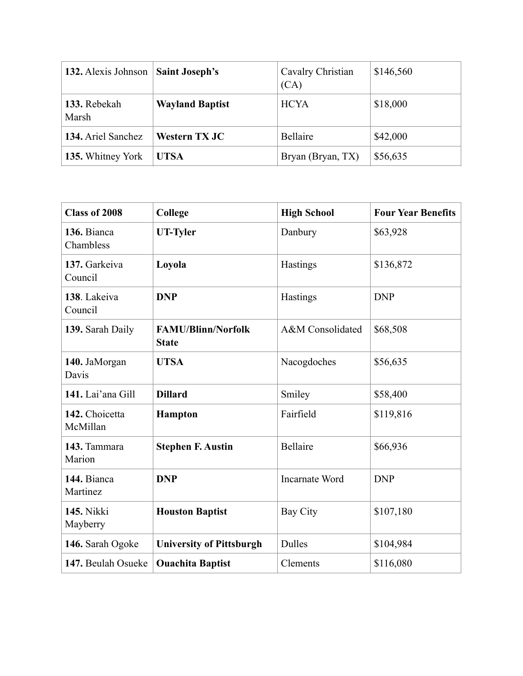| 132. Alexis Johnson   | <b>Saint Joseph's</b>  | Cavalry Christian<br>(CA) | \$146,560 |
|-----------------------|------------------------|---------------------------|-----------|
| 133. Rebekah<br>Marsh | <b>Wayland Baptist</b> | <b>HCYA</b>               | \$18,000  |
| 134. Ariel Sanchez    | Western TX JC          | Bellaire                  | \$42,000  |
| 135. Whitney York     | <b>UTSA</b>            | Bryan (Bryan, TX)         | \$56,635  |

| <b>Class of 2008</b>          | College                                   | <b>High School</b>    | <b>Four Year Benefits</b> |
|-------------------------------|-------------------------------------------|-----------------------|---------------------------|
| 136. Bianca<br>Chambless      | <b>UT-Tyler</b>                           | Danbury               | \$63,928                  |
| 137. Garkeiva<br>Council      | Loyola                                    | Hastings              | \$136,872                 |
| 138. Lakeiva<br>Council       | <b>DNP</b>                                | Hastings              | <b>DNP</b>                |
| 139. Sarah Daily              | <b>FAMU/Blinn/Norfolk</b><br><b>State</b> | A&M Consolidated      | \$68,508                  |
| 140. JaMorgan<br>Davis        | <b>UTSA</b>                               | Nacogdoches           | \$56,635                  |
| 141. Lai'ana Gill             | <b>Dillard</b>                            | Smiley                | \$58,400                  |
| 142. Choicetta<br>McMillan    | <b>Hampton</b>                            | Fairfield             | \$119,816                 |
| 143. Tammara<br>Marion        | <b>Stephen F. Austin</b>                  | <b>Bellaire</b>       | \$66,936                  |
| 144. Bianca<br>Martinez       | <b>DNP</b>                                | <b>Incarnate Word</b> | <b>DNP</b>                |
| <b>145. Nikki</b><br>Mayberry | <b>Houston Baptist</b>                    | Bay City              | \$107,180                 |
| 146. Sarah Ogoke              | <b>University of Pittsburgh</b>           | Dulles                | \$104,984                 |
| 147. Beulah Osueke            | <b>Ouachita Baptist</b>                   | Clements              | \$116,080                 |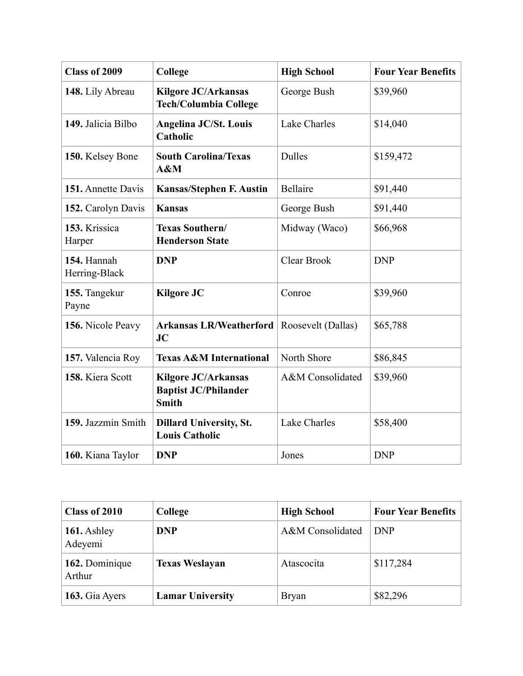| <b>Class of 2009</b>         | College                                                                   | <b>High School</b> | <b>Four Year Benefits</b> |
|------------------------------|---------------------------------------------------------------------------|--------------------|---------------------------|
| 148. Lily Abreau             | <b>Kilgore JC/Arkansas</b><br><b>Tech/Columbia College</b>                | George Bush        | \$39,960                  |
| 149. Jalicia Bilbo           | <b>Angelina JC/St. Louis</b><br>Catholic                                  | Lake Charles       | \$14,040                  |
| 150. Kelsey Bone             | <b>South Carolina/Texas</b><br>A&M                                        | <b>Dulles</b>      | \$159,472                 |
| 151. Annette Davis           | <b>Kansas/Stephen F. Austin</b>                                           | Bellaire           | \$91,440                  |
| 152. Carolyn Davis           | <b>Kansas</b>                                                             | George Bush        | \$91,440                  |
| 153. Krissica<br>Harper      | Texas Southern/<br><b>Henderson State</b>                                 | Midway (Waco)      | \$66,968                  |
| 154. Hannah<br>Herring-Black | <b>DNP</b>                                                                | Clear Brook        | <b>DNP</b>                |
| 155. Tangekur<br>Payne       | <b>Kilgore JC</b>                                                         | Conroe             | \$39,960                  |
| 156. Nicole Peavy            | <b>Arkansas LR/Weatherford</b><br>JC                                      | Roosevelt (Dallas) | \$65,788                  |
| 157. Valencia Roy            | <b>Texas A&amp;M International</b>                                        | North Shore        | \$86,845                  |
| 158. Kiera Scott             | <b>Kilgore JC/Arkansas</b><br><b>Baptist JC/Philander</b><br><b>Smith</b> | A&M Consolidated   | \$39,960                  |
| 159. Jazzmin Smith           | <b>Dillard University, St.</b><br><b>Louis Catholic</b>                   | Lake Charles       | \$58,400                  |
| 160. Kiana Taylor            | <b>DNP</b>                                                                | Jones              | <b>DNP</b>                |

| Class of 2010            | College                 | <b>High School</b> | <b>Four Year Benefits</b> |
|--------------------------|-------------------------|--------------------|---------------------------|
| 161. Ashley<br>Adeyemi   | <b>DNP</b>              | A&M Consolidated   | <b>DNP</b>                |
| 162. Dominique<br>Arthur | <b>Texas Weslayan</b>   | Atascocita         | \$117,284                 |
| 163. Gia Ayers           | <b>Lamar University</b> | <b>Bryan</b>       | \$82,296                  |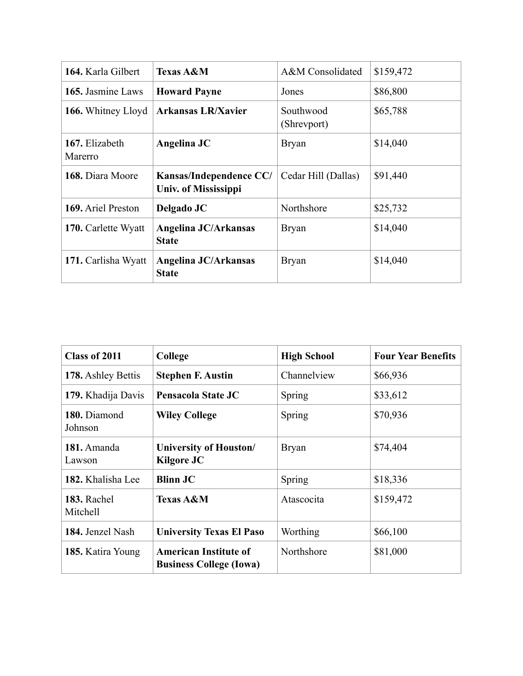| 164. Karla Gilbert        | <b>Texas A&amp;M</b>                                   | A&M Consolidated         | \$159,472 |
|---------------------------|--------------------------------------------------------|--------------------------|-----------|
| 165. Jasmine Laws         | <b>Howard Payne</b>                                    | Jones                    | \$86,800  |
| 166. Whitney Lloyd        | <b>Arkansas LR/Xavier</b>                              | Southwood<br>(Shrevport) | \$65,788  |
| 167. Elizabeth<br>Marerro | Angelina JC                                            | <b>Bryan</b>             | \$14,040  |
| 168. Diara Moore          | Kansas/Independence CC/<br><b>Univ. of Mississippi</b> | Cedar Hill (Dallas)      | \$91,440  |
| 169. Ariel Preston        | Delgado JC                                             | Northshore               | \$25,732  |
| 170. Carlette Wyatt       | Angelina JC/Arkansas<br><b>State</b>                   | <b>Bryan</b>             | \$14,040  |
| 171. Carlisha Wyatt       | Angelina JC/Arkansas<br><b>State</b>                   | <b>Bryan</b>             | \$14,040  |

| Class of 2011           | College                                                        | <b>High School</b> | <b>Four Year Benefits</b> |
|-------------------------|----------------------------------------------------------------|--------------------|---------------------------|
| 178. Ashley Bettis      | <b>Stephen F. Austin</b>                                       | Channelview        | \$66,936                  |
| 179. Khadija Davis      | Pensacola State JC                                             | Spring             | \$33,612                  |
| 180. Diamond<br>Johnson | <b>Wiley College</b>                                           | Spring             | \$70,936                  |
| 181. Amanda<br>Lawson   | University of Houston/<br><b>Kilgore JC</b>                    | <b>Bryan</b>       | \$74,404                  |
| 182. Khalisha Lee       | <b>Blinn JC</b>                                                | <b>Spring</b>      | \$18,336                  |
| 183. Rachel<br>Mitchell | <b>Texas A&amp;M</b>                                           | Atascocita         | \$159,472                 |
| 184. Jenzel Nash        | <b>University Texas El Paso</b>                                | Worthing           | \$66,100                  |
| 185. Katira Young       | <b>American Institute of</b><br><b>Business College (Iowa)</b> | Northshore         | \$81,000                  |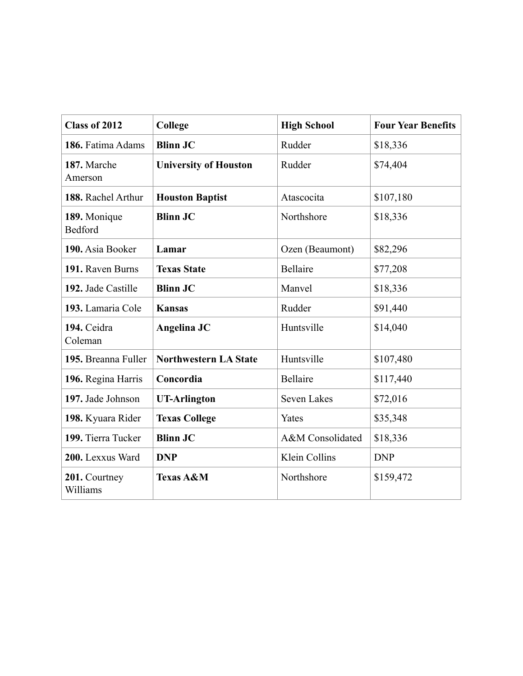| Class of 2012                  | College                      | <b>High School</b> | <b>Four Year Benefits</b> |
|--------------------------------|------------------------------|--------------------|---------------------------|
| 186. Fatima Adams              | <b>Blinn JC</b>              | Rudder             | \$18,336                  |
| 187. Marche<br>Amerson         | <b>University of Houston</b> | Rudder             | \$74,404                  |
| 188. Rachel Arthur             | <b>Houston Baptist</b>       | Atascocita         | \$107,180                 |
| 189. Monique<br><b>Bedford</b> | <b>Blinn JC</b>              | Northshore         | \$18,336                  |
| 190. Asia Booker               | Lamar                        | Ozen (Beaumont)    | \$82,296                  |
| 191. Raven Burns               | <b>Texas State</b>           | <b>Bellaire</b>    | \$77,208                  |
| 192. Jade Castille             | <b>Blinn JC</b>              | Manvel             | \$18,336                  |
| 193. Lamaria Cole              | <b>Kansas</b>                | Rudder             | \$91,440                  |
| 194. Ceidra<br>Coleman         | Angelina JC                  | Huntsville         | \$14,040                  |
| 195. Breanna Fuller            | <b>Northwestern LA State</b> | Huntsville         | \$107,480                 |
| 196. Regina Harris             | Concordia                    | <b>Bellaire</b>    | \$117,440                 |
| 197. Jade Johnson              | <b>UT-Arlington</b>          | <b>Seven Lakes</b> | \$72,016                  |
| 198. Kyuara Rider              | <b>Texas College</b>         | Yates              | \$35,348                  |
| 199. Tierra Tucker             | <b>Blinn JC</b>              | A&M Consolidated   | \$18,336                  |
| 200. Lexxus Ward               | <b>DNP</b>                   | Klein Collins      | <b>DNP</b>                |
| 201. Courtney<br>Williams      | <b>Texas A&amp;M</b>         | Northshore         | \$159,472                 |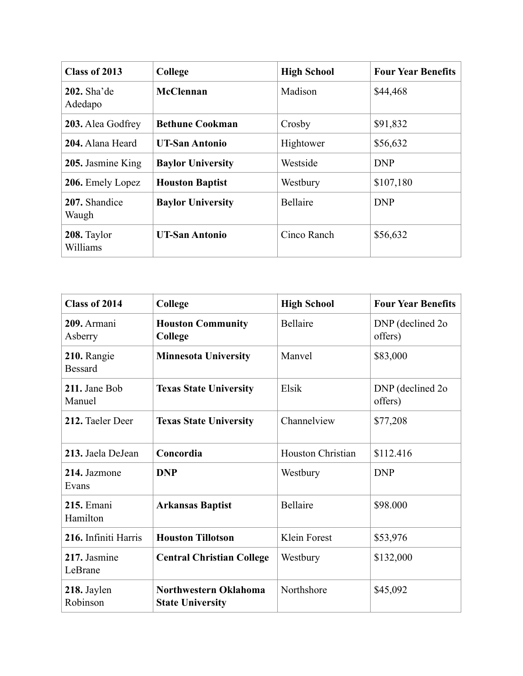| Class of 2013           | College                  | <b>High School</b> | <b>Four Year Benefits</b> |
|-------------------------|--------------------------|--------------------|---------------------------|
| 202. Sha'de<br>Adedapo  | McClennan                | Madison            | \$44,468                  |
| 203. Alea Godfrey       | <b>Bethune Cookman</b>   | Crosby             | \$91,832                  |
| 204. Alana Heard        | <b>UT-San Antonio</b>    | Hightower          | \$56,632                  |
| 205. Jasmine King       | <b>Baylor University</b> | Westside           | <b>DNP</b>                |
| 206. Emely Lopez        | <b>Houston Baptist</b>   | Westbury           | \$107,180                 |
| 207. Shandice<br>Waugh  | <b>Baylor University</b> | <b>Bellaire</b>    | <b>DNP</b>                |
| 208. Taylor<br>Williams | <b>UT-San Antonio</b>    | Cinco Ranch        | \$56,632                  |

| <b>Class of 2014</b>          | College                                          | <b>High School</b>       | <b>Four Year Benefits</b>    |
|-------------------------------|--------------------------------------------------|--------------------------|------------------------------|
| 209. Armani<br>Asberry        | <b>Houston Community</b><br>College              | <b>Bellaire</b>          | DNP (declined 2o)<br>offers) |
| 210. Rangie<br><b>Bessard</b> | <b>Minnesota University</b>                      | Manyel                   | \$83,000                     |
| 211. Jane Bob<br>Manuel       | <b>Texas State University</b>                    | Elsik                    | DNP (declined 2o)<br>offers) |
| 212. Taeler Deer              | <b>Texas State University</b>                    | Channelview              | \$77,208                     |
| 213. Jaela DeJean             | Concordia                                        | <b>Houston Christian</b> | \$112.416                    |
| 214. Jazmone<br>Evans         | <b>DNP</b>                                       | Westbury                 | <b>DNP</b>                   |
| <b>215. Emani</b><br>Hamilton | <b>Arkansas Baptist</b>                          | <b>Bellaire</b>          | \$98.000                     |
| 216. Infiniti Harris          | <b>Houston Tillotson</b>                         | Klein Forest             | \$53,976                     |
| 217. Jasmine<br>LeBrane       | <b>Central Christian College</b>                 | Westbury                 | \$132,000                    |
| 218. Jaylen<br>Robinson       | Northwestern Oklahoma<br><b>State University</b> | Northshore               | \$45,092                     |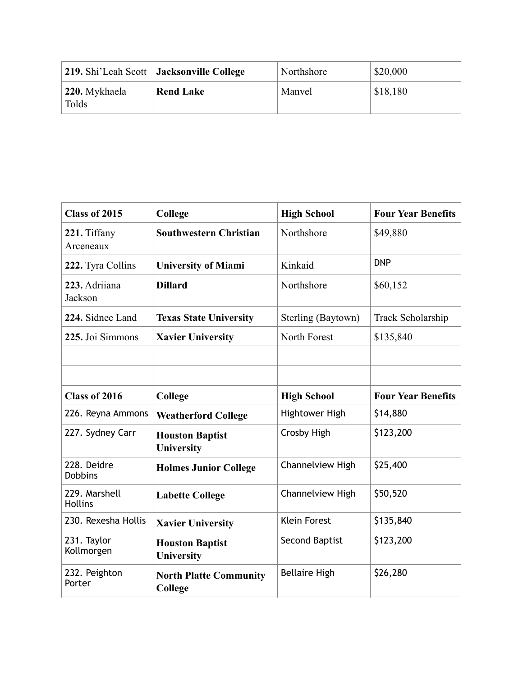|                        | 219. Shi'Leah Scott   Jacksonville College | Northshore | \$20,000 |
|------------------------|--------------------------------------------|------------|----------|
| 220. Mykhaela<br>Tolds | <b>Rend Lake</b>                           | Manvel     | \$18,180 |

| <b>Class of 2015</b>            | College                                  | <b>High School</b>      | <b>Four Year Benefits</b> |
|---------------------------------|------------------------------------------|-------------------------|---------------------------|
| 221. Tiffany<br>Arceneaux       | <b>Southwestern Christian</b>            | Northshore              | \$49,880                  |
| 222. Tyra Collins               | <b>University of Miami</b>               | Kinkaid                 | <b>DNP</b>                |
| 223. Adriiana<br>Jackson        | <b>Dillard</b>                           | Northshore              | \$60,152                  |
| 224. Sidnee Land                | <b>Texas State University</b>            | Sterling (Baytown)      | Track Scholarship         |
| 225. Joi Simmons                | <b>Xavier University</b>                 | North Forest            | \$135,840                 |
|                                 |                                          |                         |                           |
|                                 |                                          |                         |                           |
| Class of 2016                   | College                                  | <b>High School</b>      | <b>Four Year Benefits</b> |
| 226. Reyna Ammons               | <b>Weatherford College</b>               | Hightower High          | \$14,880                  |
| 227. Sydney Carr                | <b>Houston Baptist</b><br>University     | Crosby High             | \$123,200                 |
| 228. Deidre<br><b>Dobbins</b>   | <b>Holmes Junior College</b>             | <b>Channelview High</b> | \$25,400                  |
| 229. Marshell<br><b>Hollins</b> | <b>Labette College</b>                   | Channelview High        | \$50,520                  |
| 230. Rexesha Hollis             | <b>Xavier University</b>                 | <b>Klein Forest</b>     | \$135,840                 |
| 231. Taylor<br>Kollmorgen       | <b>Houston Baptist</b><br>University     | Second Baptist          | \$123,200                 |
| 232. Peighton<br>Porter         | <b>North Platte Community</b><br>College | <b>Bellaire High</b>    | \$26,280                  |